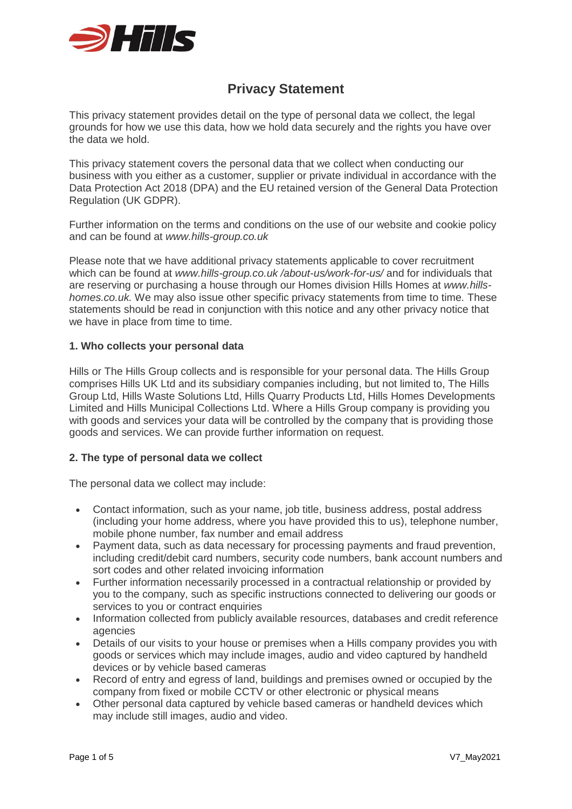

# **Privacy Statement**

This privacy statement provides detail on the type of personal data we collect, the legal grounds for how we use this data, how we hold data securely and the rights you have over the data we hold.

This privacy statement covers the personal data that we collect when conducting our business with you either as a customer, supplier or private individual in accordance with the Data Protection Act 2018 (DPA) and the EU retained version of the General Data Protection Regulation (UK GDPR).

Further information on the terms and conditions on the use of our website and cookie policy and can be found at *www.hills-group.co.uk*

Please note that we have additional privacy statements applicable to cover recruitment which can be found at *www.hills-group.co.uk /about-us/work-for-us/* and for individuals that are reserving or purchasing a house through our Homes division Hills Homes at *www.hillshomes.co.uk.* We may also issue other specific privacy statements from time to time. These statements should be read in conjunction with this notice and any other privacy notice that we have in place from time to time.

## **1. Who collects your personal data**

Hills or The Hills Group collects and is responsible for your personal data. The Hills Group comprises Hills UK Ltd and its subsidiary companies including, but not limited to, The Hills Group Ltd, Hills Waste Solutions Ltd, Hills Quarry Products Ltd, Hills Homes Developments Limited and Hills Municipal Collections Ltd. Where a Hills Group company is providing you with goods and services your data will be controlled by the company that is providing those goods and services. We can provide further information on request.

# **2. The type of personal data we collect**

The personal data we collect may include:

- Contact information, such as your name, job title, business address, postal address (including your home address, where you have provided this to us), telephone number, mobile phone number, fax number and email address
- Payment data, such as data necessary for processing payments and fraud prevention, including credit/debit card numbers, security code numbers, bank account numbers and sort codes and other related invoicing information
- Further information necessarily processed in a contractual relationship or provided by you to the company, such as specific instructions connected to delivering our goods or services to you or contract enquiries
- Information collected from publicly available resources, databases and credit reference agencies
- Details of our visits to your house or premises when a Hills company provides you with goods or services which may include images, audio and video captured by handheld devices or by vehicle based cameras
- Record of entry and egress of land, buildings and premises owned or occupied by the company from fixed or mobile CCTV or other electronic or physical means
- Other personal data captured by vehicle based cameras or handheld devices which may include still images, audio and video.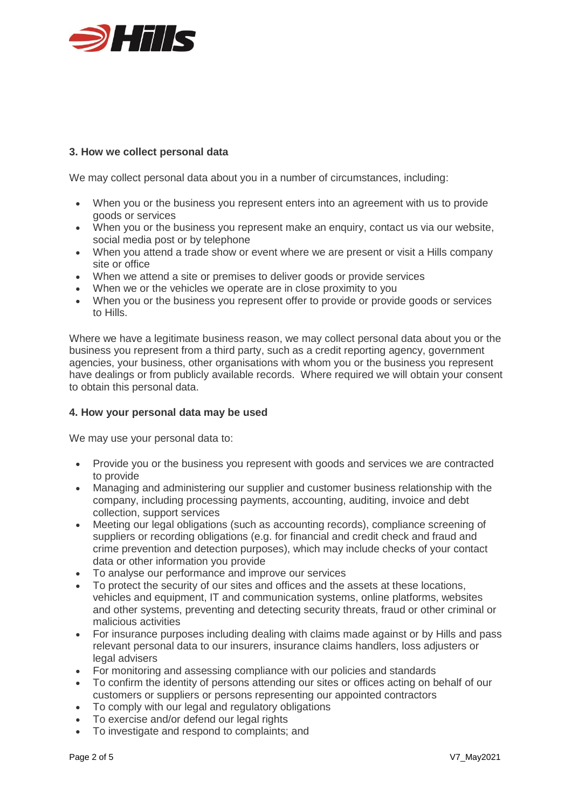

# **3. How we collect personal data**

We may collect personal data about you in a number of circumstances, including:

- When you or the business you represent enters into an agreement with us to provide goods or services
- When you or the business you represent make an enquiry, contact us via our website, social media post or by telephone
- When you attend a trade show or event where we are present or visit a Hills company site or office
- When we attend a site or premises to deliver goods or provide services
- When we or the vehicles we operate are in close proximity to you
- When you or the business you represent offer to provide or provide goods or services to Hills.

Where we have a legitimate business reason, we may collect personal data about you or the business you represent from a third party, such as a credit reporting agency, government agencies, your business, other organisations with whom you or the business you represent have dealings or from publicly available records. Where required we will obtain your consent to obtain this personal data.

# **4. How your personal data may be used**

We may use your personal data to:

- Provide you or the business you represent with goods and services we are contracted to provide
- Managing and administering our supplier and customer business relationship with the company, including processing payments, accounting, auditing, invoice and debt collection, support services
- Meeting our legal obligations (such as accounting records), compliance screening of suppliers or recording obligations (e.g. for financial and credit check and fraud and crime prevention and detection purposes), which may include checks of your contact data or other information you provide
- To analyse our performance and improve our services
- To protect the security of our sites and offices and the assets at these locations, vehicles and equipment, IT and communication systems, online platforms, websites and other systems, preventing and detecting security threats, fraud or other criminal or malicious activities
- For insurance purposes including dealing with claims made against or by Hills and pass relevant personal data to our insurers, insurance claims handlers, loss adjusters or legal advisers
- For monitoring and assessing compliance with our policies and standards
- To confirm the identity of persons attending our sites or offices acting on behalf of our customers or suppliers or persons representing our appointed contractors
- To comply with our legal and regulatory obligations
- To exercise and/or defend our legal rights
- To investigate and respond to complaints; and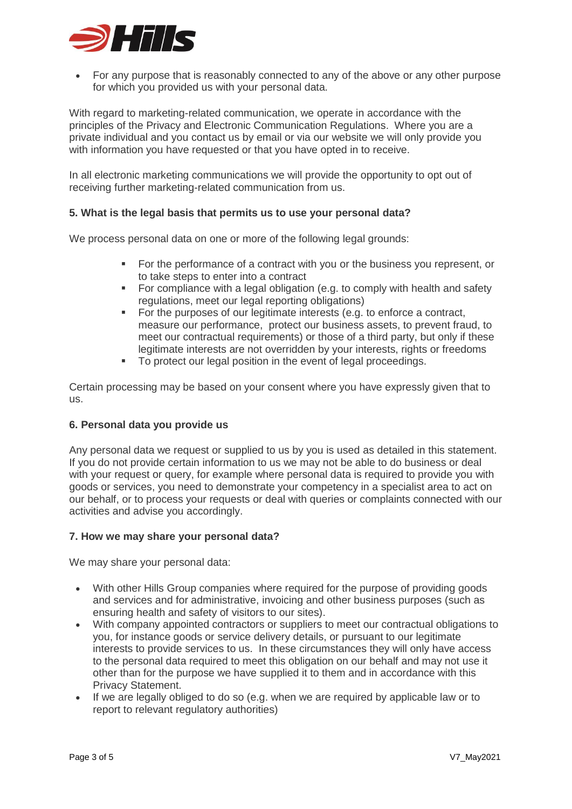

• For any purpose that is reasonably connected to any of the above or any other purpose for which you provided us with your personal data.

With regard to marketing-related communication, we operate in accordance with the principles of the Privacy and Electronic Communication Regulations. Where you are a private individual and you contact us by email or via our website we will only provide you with information you have requested or that you have opted in to receive.

In all electronic marketing communications we will provide the opportunity to opt out of receiving further marketing-related communication from us.

## **5. What is the legal basis that permits us to use your personal data?**

We process personal data on one or more of the following legal grounds:

- For the performance of a contract with you or the business you represent, or to take steps to enter into a contract
- For compliance with a legal obligation (e.g. to comply with health and safety regulations, meet our legal reporting obligations)
- For the purposes of our legitimate interests (e.g. to enforce a contract, measure our performance, protect our business assets, to prevent fraud, to meet our contractual requirements) or those of a third party, but only if these legitimate interests are not overridden by your interests, rights or freedoms
- To protect our legal position in the event of legal proceedings.

Certain processing may be based on your consent where you have expressly given that to us.

#### **6. Personal data you provide us**

Any personal data we request or supplied to us by you is used as detailed in this statement. If you do not provide certain information to us we may not be able to do business or deal with your request or query, for example where personal data is required to provide you with goods or services, you need to demonstrate your competency in a specialist area to act on our behalf, or to process your requests or deal with queries or complaints connected with our activities and advise you accordingly.

#### **7. How we may share your personal data?**

We may share your personal data:

- With other Hills Group companies where required for the purpose of providing goods and services and for administrative, invoicing and other business purposes (such as ensuring health and safety of visitors to our sites).
- With company appointed contractors or suppliers to meet our contractual obligations to you, for instance goods or service delivery details, or pursuant to our legitimate interests to provide services to us. In these circumstances they will only have access to the personal data required to meet this obligation on our behalf and may not use it other than for the purpose we have supplied it to them and in accordance with this Privacy Statement.
- If we are legally obliged to do so (e.g. when we are required by applicable law or to report to relevant regulatory authorities)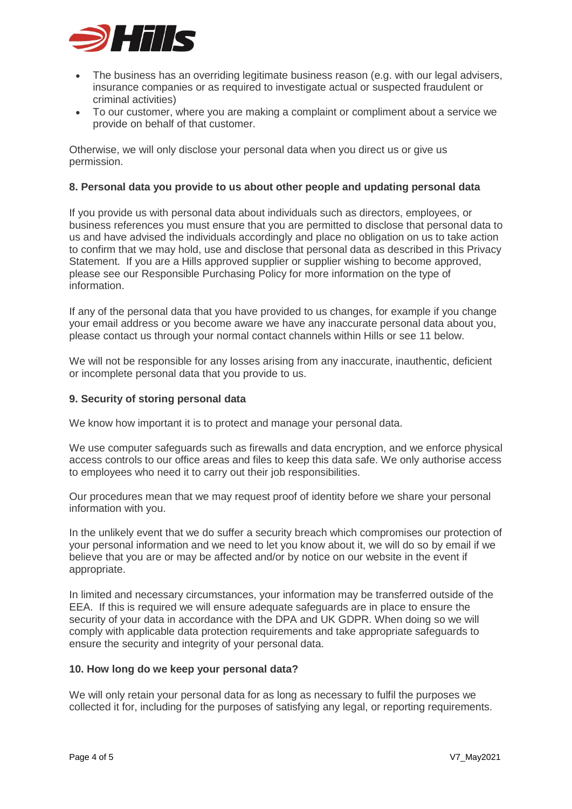

- The business has an overriding legitimate business reason (e.g. with our legal advisers, insurance companies or as required to investigate actual or suspected fraudulent or criminal activities)
- To our customer, where you are making a complaint or compliment about a service we provide on behalf of that customer.

Otherwise, we will only disclose your personal data when you direct us or give us permission.

## **8. Personal data you provide to us about other people and updating personal data**

If you provide us with personal data about individuals such as directors, employees, or business references you must ensure that you are permitted to disclose that personal data to us and have advised the individuals accordingly and place no obligation on us to take action to confirm that we may hold, use and disclose that personal data as described in this Privacy Statement. If you are a Hills approved supplier or supplier wishing to become approved, please see our Responsible Purchasing Policy for more information on the type of information.

If any of the personal data that you have provided to us changes, for example if you change your email address or you become aware we have any inaccurate personal data about you, please contact us through your normal contact channels within Hills or see 11 below.

We will not be responsible for any losses arising from any inaccurate, inauthentic, deficient or incomplete personal data that you provide to us.

## **9. Security of storing personal data**

We know how important it is to protect and manage your personal data.

We use computer safeguards such as firewalls and data encryption, and we enforce physical access controls to our office areas and files to keep this data safe. We only authorise access to employees who need it to carry out their job responsibilities.

Our procedures mean that we may request proof of identity before we share your personal information with you.

In the unlikely event that we do suffer a security breach which compromises our protection of your personal information and we need to let you know about it, we will do so by email if we believe that you are or may be affected and/or by notice on our website in the event if appropriate.

In limited and necessary circumstances, your information may be transferred outside of the EEA. If this is required we will ensure adequate safeguards are in place to ensure the security of your data in accordance with the DPA and UK GDPR. When doing so we will comply with applicable data protection requirements and take appropriate safeguards to ensure the security and integrity of your personal data.

#### **10. How long do we keep your personal data?**

We will only retain your personal data for as long as necessary to fulfil the purposes we collected it for, including for the purposes of satisfying any legal, or reporting requirements.